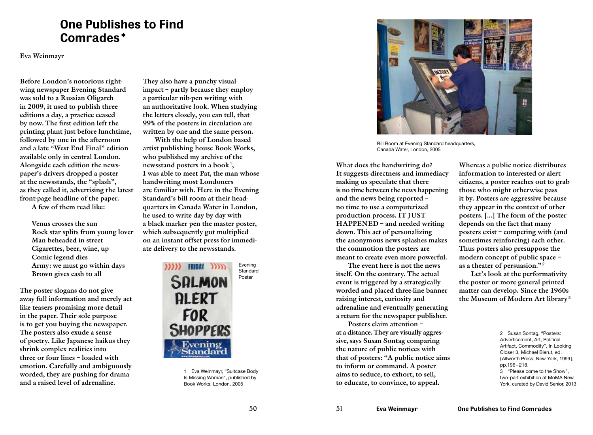## One Publishes to Find Comrades\*

Eva Weinmayr

Before London's notorious rightwing newspaper Evening Standard was sold to a Russian Oligarch in 2009, it used to publish three editions a day, a practice ceased by now. The first edition left the printing plant just before lunchtime, followed by one in the afternoon and a late "West End Final" edition available only in central London. Alongside each edition the newspaper's drivers dropped a poster at the newsstands, the "splash", as they called it, advertising the latest front-page headline of the paper. A few of them read like:

> Venus crosses the sun Rock star splits from young lover Man beheaded in street Cigarettes, beer, wine, up Comic legend dies Army: we must go within days Brown gives cash to all

The poster slogans do not give away full information and merely act like teasers promising more detail in the paper. Their sole purpose is to get you buying the newspaper. The posters also exude a sense of poetry. Like Japanese haikus they shrink complex realities into three or four lines – loaded with emotion. Carefully and ambiguously worded, they are pushing for drama and a raised level of adrenaline.

They also have a punchy visual impact – partly because they employ a particular nib-pen writing with an authoritative look. When studying the letters closely, you can tell, that 99% of the posters in circulation are written by one and the same person.

With the help of London based artist publishing house Book Works, who published my archive of the newsstand posters in a book<sup>1</sup>, I was able to meet Pat, the man whose handwriting most Londoners are familiar with. Here in the Evening Standard's bill room at their headquarters in Canada Water in London, he used to write day by day with a black marker pen the master poster, which subsequently got multiplied on an instant offset press for immediate delivery to the newsstands.



1 Eva Weinmayr, "Suitcase Body Is Missing Woman", published by Book Works, London, 2005



Bill Room at Evening Standard headquarters. Canada Water, London, 2005

What does the handwriting do? It suggests directness and immediacy making us speculate that there is no time between the news happening and the news being reported – no time to use a computerized production process. IT JUST HAPPENED – and needed writing down. This act of personalizing the anonymous news splashes makes the commotion the posters are meant to create even more powerful.

The event here is not the news itself. On the contrary. The actual event is triggered by a strategically worded and placed three-line banner raising interest, curiosity and adrenaline and eventually generating a return for the newspaper publisher.

Posters claim attention – at a distance. They are visually aggressive, says Susan Sontag comparing the nature of public notices with that of posters: "A public notice aims to inform or command. A poster aims to seduce, to exhort, to sell, to educate, to convince, to appeal.

Whereas a public notice distributes information to interested or alert citizens, a poster reaches out to grab those who might otherwise pass it by. Posters are aggressive because they appear in the context of other posters. [...] The form of the poster depends on the fact that many posters exist – competing with (and sometimes reinforcing) each other. Thus posters also presuppose the modern concept of public space – as a theater of persuasion."<sup>2</sup>

Let's look at the performativity the poster or more general printed matter can develop. Since the 1960s the Museum of Modern Art library <sup>3</sup>

> 2 Susan Sontag, "Posters: Advertisement, Art, Political Artifact, Commodity". In Looking Closer 3, Michael Bierut, ed. (Allworth Press, New York, 1999), pp.196–218. 3 "Please come to the Show", two-part exhibition at MoMA New York, curated by David Senior, 2013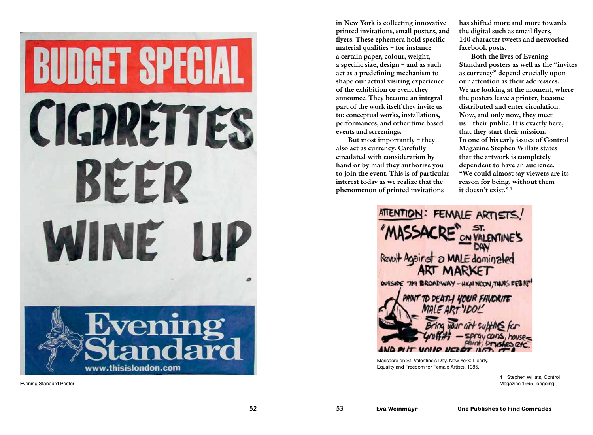BUDGET SPECIAL CIGDRETTES BEER WINE M



Evening Standard Poster

in New York is collecting innovative printed invitations, small posters, and flyers. These ephemera hold specific material qualities – for instance a certain paper, colour, weight, a specific size, design – and as such act as a predefining mechanism to shape our actual visiting experience of the exhibition or event they announce. They become an integral part of the work itself they invite us to: conceptual works, installations, performances, and other time based events and screenings.

But most importantly – they also act as currency. Carefully circulated with consideration by hand or by mail they authorize you to join the event. This is of particular interest today as we realize that the phenomenon of printed invitations

has shifted more and more towards the digital such as email flyers, 140-character tweets and networked facebook posts.

Both the lives of Evening Standard posters as well as the "invites as currency" depend crucially upon our attention as their addressees. We are looking at the moment, where the posters leave a printer, become distributed and enter circulation. Now, and only now, they meet us – their public. It is exactly here, that they start their mission. In one of his early issues of Control Magazine Stephen Willats states that the artwork is completely dependent to have an audience. "We could almost say viewers are its reason for being, without them it doesn't exist." <sup>4</sup>



Massacre on St. Valentine's Day. New York: Liberty, Equality and Freedom for Female Artists, 1985.

> 4 Stephen Willats, Control Magazine 1965–ongoing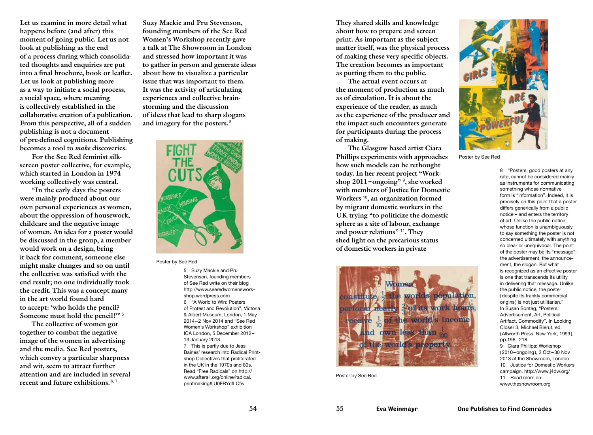Let us examine in more detail what happens before (and after) this moment of going public. Let us not look at publishing as the end of a process during which consolidated thoughts and enquiries are put into a final brochure, book or leaflet. Let us look at publishing more as a way to initiate a social process, a social space, where meaning is collectively established in the collaborative creation of a publication. From this perspective, all of a sudden publishing is not a document of pre-defined cognitions. Publishing becomes a tool to *make* discoveries.

For the See Red feminist silkscreen poster collective, for example, which started in London in 1974 working collectively was central.

"In the early days the posters were mainly produced about our own personal experiences as women, about the oppression of housework, childcare and the negative image of women. An idea for a poster would be discussed in the group, a member would work on a design, bring it back for comment, someone else might make changes and so on until the collective was satisfied with the end result; no one individually took the credit. This was a concept many in the art world found hard to accept: 'who holds the pencil? Someone must hold the pencil!"<sup>5</sup>

The collective of women got together to combat the negative image of the women in advertising and the media. See Red posters, which convey a particular sharpness and wit, seem to attract further attention and are included in several recent and future exhibitions. <sup>6, 7</sup>

Suzy Mackie and Pru Stevenson, founding members of the See Red Women's Workshop recently gave a talk at The Showroom in London and stressed how important it was to gather in person and generate ideas about how to visualize a particular issue that was important to them. It was the activity of articulating experiences and collective brainstorming and the discussion of ideas that lead to sharp slogans and imagery for the posters. <sup>8</sup>



Poster by See Red

5 Suzy Mackie and Pru Stevenson, founding members of See Red write on their blog http://www.seeredwomensworkshop.wordpress.com 6 "A World to Win: Posters of Protest and Revolution", Victoria & Albert Museum, London, 1 May 2014–2 Nov 2014 and "See Red Women's Workshop" exhibition ICA London, 5 December 2012– 13 January 2013 7 This is partly due to Jess Baines' research into Radical Printshop Collectives that proliferated in the UK in the 1970s and 80s. Read "Free Radicals" on http:// www.afterall.org/online/radical. printmaking#.U0FRYcfLCfw

They shared skills and knowledge about how to prepare and screen print. As important as the subject matter itself, was the physical process of making these very specific objects. The creation becomes as important as putting them to the public.

The actual event occurs at the moment of production as much as of circulation. It is about the experience of the reader, as much as the experience of the producer and the impact such encounters generate for participants during the process of making.

The Glasgow based artist Ciara Phillips experiments with approaches how such models can be rethought today. In her recent project "Workshop 2011–ongoing" <sup>9</sup> , she worked with members of Justice for Domestic Workers<sup>10</sup>, an organization formed by migrant domestic workers in the UK trying "to politicize the domestic sphere as a site of labour, exchange and power relations" <sup>11</sup>. They shed light on the precarious status of domestic workers in private



Poster by See Red



Poster by See Red

8 "Posters, good posters at any rate, cannot be considered mainly as instruments for communicating something whose normative form is "information". Indeed, it is precisely on this point that a poster differs generically from a public notice – and enters the territory of art. Unlike the public notice, whose function is unambiguously to say something the poster is not concerned ultimately with anything so clear or unequivocal. The point of the poster may be its "message": the advertisement, the announcement, the slogan. But what is recognized as an effective poster is one that transcends its utility in delivering that message. Unlike the public notice, the poster (despite its frankly commercial origins) is not just utilitarian." In Susan Sontag, "Posters: Advertisement, Art, Political Artifact, Commodity". In Looking Closer 3, Michael Bierut, ed. (Allworth Press, New York, 1999), pp.196–218. 9 Ciara Phillips: Workshop (2010–ongoing), 2 Oct–30 Nov 2013 at the Showroom, London 10 Justice for Domestic Workers campaign, http://www.j4dw.org/ 11 Read more on www.theshowroom.org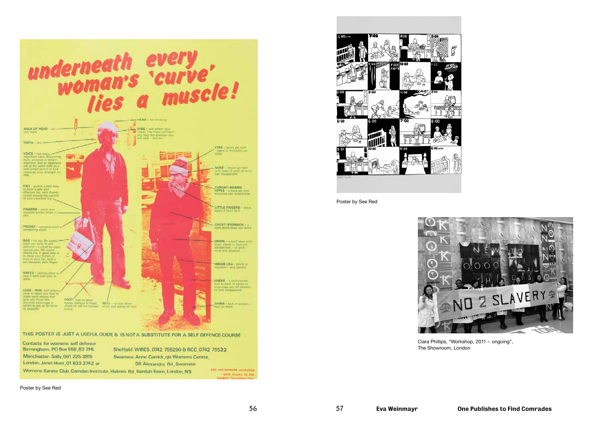

 $\overline{600}$ 

Poster by See Red



Ciara Phillips, "Workshop, 2011 – ongoing", The Showroom, London

Poster by See Red